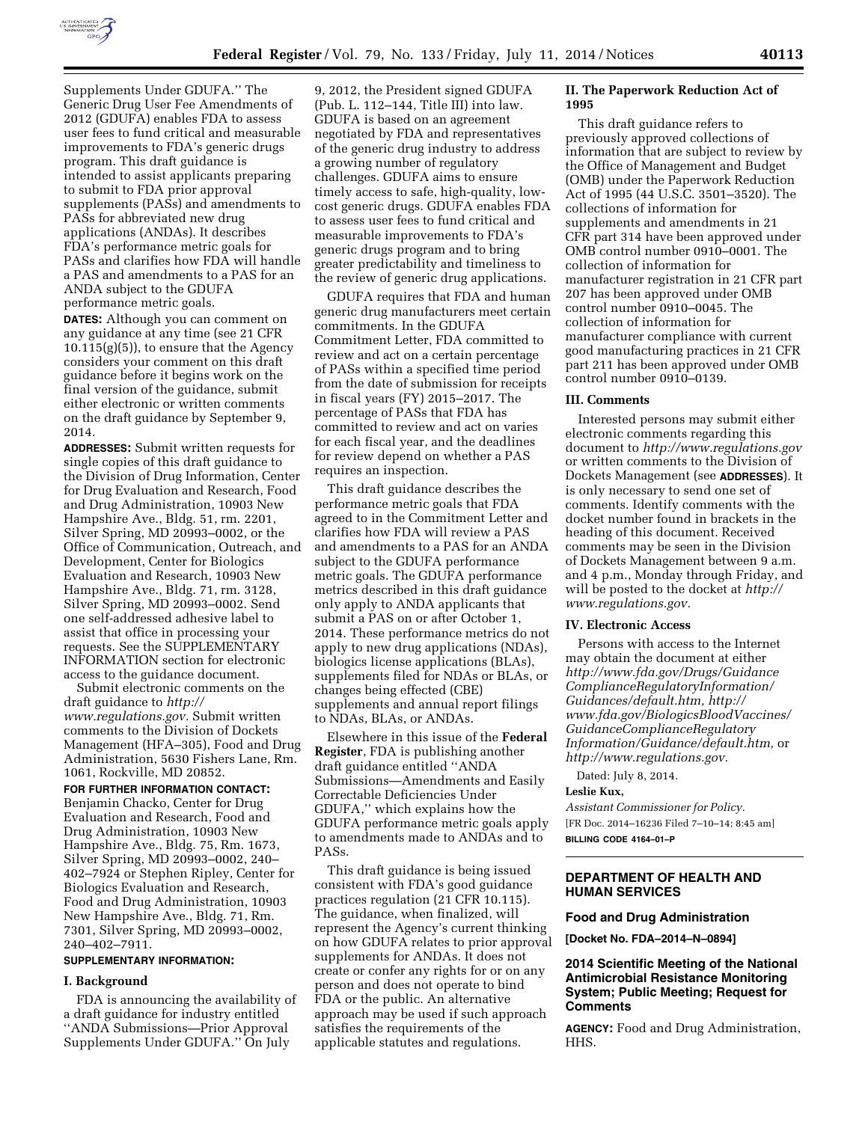

Supplements Under GDUFA.'' The Generic Drug User Fee Amendments of 2012 (GDUFA) enables FDA to assess user fees to fund critical and measurable improvements to FDA's generic drugs program. This draft guidance is intended to assist applicants preparing to submit to FDA prior approval supplements (PASs) and amendments to PASs for abbreviated new drug applications (ANDAs). It describes FDA's performance metric goals for PASs and clarifies how FDA will handle a PAS and amendments to a PAS for an ANDA subject to the GDUFA performance metric goals.

**DATES:** Although you can comment on any guidance at any time (see 21 CFR  $10.115(g)(5)$ , to ensure that the Agency considers your comment on this draft guidance before it begins work on the final version of the guidance, submit either electronic or written comments on the draft guidance by September 9, 2014.

**ADDRESSES:** Submit written requests for single copies of this draft guidance to the Division of Drug Information, Center for Drug Evaluation and Research, Food and Drug Administration, 10903 New Hampshire Ave., Bldg. 51, rm. 2201, Silver Spring, MD 20993–0002, or the Office of Communication, Outreach, and Development, Center for Biologics Evaluation and Research, 10903 New Hampshire Ave., Bldg. 71, rm. 3128, Silver Spring, MD 20993–0002. Send one self-addressed adhesive label to assist that office in processing your requests. See the SUPPLEMENTARY INFORMATION section for electronic access to the guidance document.

Submit electronic comments on the draft guidance to *[http://](http://www.regulations.gov) [www.regulations.gov.](http://www.regulations.gov)* Submit written comments to the Division of Dockets Management (HFA–305), Food and Drug Administration, 5630 Fishers Lane, Rm. 1061, Rockville, MD 20852.

**FOR FURTHER INFORMATION CONTACT:**  Benjamin Chacko, Center for Drug Evaluation and Research, Food and Drug Administration, 10903 New Hampshire Ave., Bldg. 75, Rm. 1673, Silver Spring, MD 20993–0002, 240– 402–7924 or Stephen Ripley, Center for Biologics Evaluation and Research, Food and Drug Administration, 10903 New Hampshire Ave., Bldg. 71, Rm. 7301, Silver Spring, MD 20993–0002, 240–402–7911.

### **SUPPLEMENTARY INFORMATION:**

#### **I. Background**

FDA is announcing the availability of a draft guidance for industry entitled ''ANDA Submissions—Prior Approval Supplements Under GDUFA.'' On July

9, 2012, the President signed GDUFA (Pub. L. 112–144, Title III) into law. GDUFA is based on an agreement negotiated by FDA and representatives of the generic drug industry to address a growing number of regulatory challenges. GDUFA aims to ensure timely access to safe, high-quality, lowcost generic drugs. GDUFA enables FDA to assess user fees to fund critical and measurable improvements to FDA's generic drugs program and to bring greater predictability and timeliness to the review of generic drug applications.

GDUFA requires that FDA and human generic drug manufacturers meet certain commitments. In the GDUFA Commitment Letter, FDA committed to review and act on a certain percentage of PASs within a specified time period from the date of submission for receipts in fiscal years (FY) 2015–2017. The percentage of PASs that FDA has committed to review and act on varies for each fiscal year, and the deadlines for review depend on whether a PAS requires an inspection.

This draft guidance describes the performance metric goals that FDA agreed to in the Commitment Letter and clarifies how FDA will review a PAS and amendments to a PAS for an ANDA subject to the GDUFA performance metric goals. The GDUFA performance metrics described in this draft guidance only apply to ANDA applicants that submit a PAS on or after October 1, 2014. These performance metrics do not apply to new drug applications (NDAs), biologics license applications (BLAs), supplements filed for NDAs or BLAs, or changes being effected (CBE) supplements and annual report filings to NDAs, BLAs, or ANDAs.

Elsewhere in this issue of the **Federal Register**, FDA is publishing another draft guidance entitled ''ANDA Submissions—Amendments and Easily Correctable Deficiencies Under GDUFA,'' which explains how the GDUFA performance metric goals apply to amendments made to ANDAs and to PASs.

This draft guidance is being issued consistent with FDA's good guidance practices regulation (21 CFR 10.115). The guidance, when finalized, will represent the Agency's current thinking on how GDUFA relates to prior approval supplements for ANDAs. It does not create or confer any rights for or on any person and does not operate to bind FDA or the public. An alternative approach may be used if such approach satisfies the requirements of the applicable statutes and regulations.

# **II. The Paperwork Reduction Act of 1995**

This draft guidance refers to previously approved collections of information that are subject to review by the Office of Management and Budget (OMB) under the Paperwork Reduction Act of 1995 (44 U.S.C. 3501–3520). The collections of information for supplements and amendments in 21 CFR part 314 have been approved under OMB control number 0910–0001. The collection of information for manufacturer registration in 21 CFR part 207 has been approved under OMB control number 0910–0045. The collection of information for manufacturer compliance with current good manufacturing practices in 21 CFR part 211 has been approved under OMB control number 0910–0139.

## **III. Comments**

Interested persons may submit either electronic comments regarding this document to *<http://www.regulations.gov>* or written comments to the Division of Dockets Management (see **ADDRESSES**). It is only necessary to send one set of comments. Identify comments with the docket number found in brackets in the heading of this document. Received comments may be seen in the Division of Dockets Management between 9 a.m. and 4 p.m., Monday through Friday, and will be posted to the docket at *[http://](http://www.regulations.gov) [www.regulations.gov.](http://www.regulations.gov)* 

# **IV. Electronic Access**

Persons with access to the Internet may obtain the document at either *[http://www.fda.gov/Drugs/Guidance](http://www.fda.gov/Drugs/GuidanceComplianceRegulatoryInformation/Guidances/default.htm) [ComplianceRegulatoryInformation/](http://www.fda.gov/Drugs/GuidanceComplianceRegulatoryInformation/Guidances/default.htm) [Guidances/default.htm,](http://www.fda.gov/Drugs/GuidanceComplianceRegulatoryInformation/Guidances/default.htm) [http://](http://www.fda.gov/BiologicsBloodVaccines/GuidanceComplianceRegulatoryInformation/Guidance/default.htm) [www.fda.gov/BiologicsBloodVaccines/](http://www.fda.gov/BiologicsBloodVaccines/GuidanceComplianceRegulatoryInformation/Guidance/default.htm) GuidanceComplianceRegulatory [Information/Guidance/default.htm,](http://www.fda.gov/BiologicsBloodVaccines/GuidanceComplianceRegulatoryInformation/Guidance/default.htm)* or *[http://www.regulations.gov.](http://www.regulations.gov)* 

Dated: July 8, 2014.

# **Leslie Kux,**

*Assistant Commissioner for Policy.*  [FR Doc. 2014–16236 Filed 7–10–14; 8:45 am] **BILLING CODE 4164–01–P** 

# **DEPARTMENT OF HEALTH AND HUMAN SERVICES**

### **Food and Drug Administration**

**[Docket No. FDA–2014–N–0894]** 

# **2014 Scientific Meeting of the National Antimicrobial Resistance Monitoring System; Public Meeting; Request for Comments**

**AGENCY:** Food and Drug Administration, HHS.